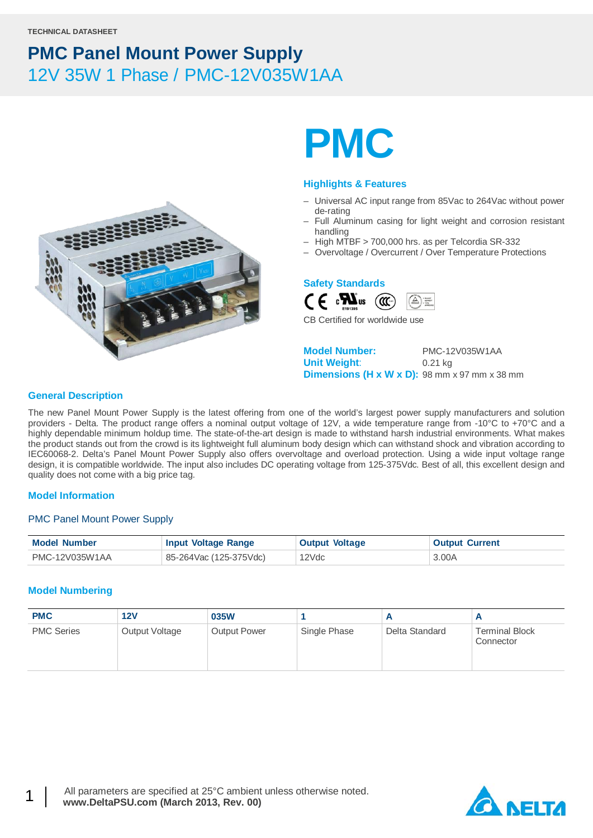



### **Highlights & Features**

- Universal AC input range from 85Vac to 264Vac without power de-rating
- Full Aluminum casing for light weight and corrosion resistant handling
- High MTBF > 700,000 hrs. as per Telcordia SR-332
- Overvoltage / Overcurrent / Over Temperature Protections

# **Safety Standards**



CB Certified for worldwide use

**Model Number:** PMC-12V035W1AA **Unit Weight:** 0.21 kg **Dimensions (H x W x D):** 98 mm x 97 mm x 38 mm

## **General Description**

The new Panel Mount Power Supply is the latest offering from one of the world's largest power supply manufacturers and solution providers - Delta. The product range offers a nominal output voltage of 12V, a wide temperature range from -10°C to +70°C and a highly dependable minimum holdup time. The state-of-the-art design is made to withstand harsh industrial environments. What makes the product stands out from the crowd is its lightweight full aluminum body design which can withstand shock and vibration according to IEC60068-2. Delta's Panel Mount Power Supply also offers overvoltage and overload protection. Using a wide input voltage range design, it is compatible worldwide. The input also includes DC operating voltage from 125-375Vdc. Best of all, this excellent design and quality does not come with a big price tag.

## **Model Information**

### PMC Panel Mount Power Supply

| <b>Model Number</b> | <b>Input Voltage Range</b> | <b>Output Voltage</b> | <b>Output Current</b> |
|---------------------|----------------------------|-----------------------|-----------------------|
| PMC-12V035W1AA      | 85-264Vac (125-375Vdc)     | 12Vdc                 | 3.00A                 |

## **Model Numbering**

| <b>PMC</b>        | 12V            | 035W                |              | Ē              |                                    |
|-------------------|----------------|---------------------|--------------|----------------|------------------------------------|
| <b>PMC Series</b> | Output Voltage | <b>Output Power</b> | Single Phase | Delta Standard | <b>Terminal Block</b><br>Connector |

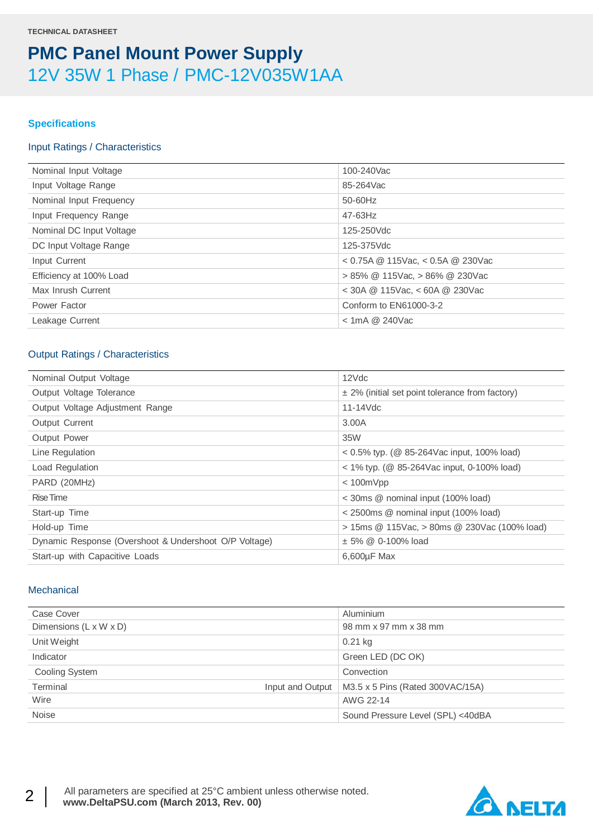## **Specifications**

## Input Ratings / Characteristics

| Nominal Input Voltage    | 100-240Vac                            |
|--------------------------|---------------------------------------|
| Input Voltage Range      | 85-264Vac                             |
| Nominal Input Frequency  | $50-60$ Hz                            |
| Input Frequency Range    | 47-63Hz                               |
| Nominal DC Input Voltage | 125-250Vdc                            |
| DC Input Voltage Range   | 125-375Vdc                            |
| Input Current            | $<$ 0.75A @ 115Vac, $<$ 0.5A @ 230Vac |
| Efficiency at 100% Load  | $> 85\%$ @ 115Vac, $> 86\%$ @ 230Vac  |
| Max Inrush Current       | $<$ 30A @ 115Vac, $<$ 60A @ 230Vac    |
| Power Factor             | Conform to EN61000-3-2                |
| Leakage Current          | $<$ 1mA @ 240Vac                      |
|                          |                                       |

# Output Ratings / Characteristics

| Nominal Output Voltage                                | 12Vdc                                               |
|-------------------------------------------------------|-----------------------------------------------------|
| Output Voltage Tolerance                              | $\pm$ 2% (initial set point tolerance from factory) |
| Output Voltage Adjustment Range                       | $11-14$ Vdc                                         |
| Output Current                                        | 3.00A                                               |
| <b>Output Power</b>                                   | 35W                                                 |
| Line Regulation                                       | < $0.5\%$ typ. ( $@$ 85-264Vac input, 100% load)    |
| Load Regulation                                       | $<$ 1% typ. (@ 85-264Vac input, 0-100% load)        |
| PARD (20MHz)                                          | $<$ 100 $mV$ pp                                     |
| Rise Time                                             | < 30ms @ nominal input (100% load)                  |
| Start-up Time                                         | $<$ 2500ms $\circledR$ nominal input (100% load)    |
| Hold-up Time                                          | $>$ 15ms @ 115Vac, $>$ 80ms @ 230Vac (100% load)    |
| Dynamic Response (Overshoot & Undershoot O/P Voltage) | $\pm$ 5% @ 0-100% load                              |
| Start-up with Capacitive Loads                        | 6,600µF Max                                         |

### **Mechanical**

| Case Cover                   | Aluminium                         |
|------------------------------|-----------------------------------|
| Dimensions (L x W x D)       | 98 mm x 97 mm x 38 mm             |
| Unit Weight                  | $0.21$ kg                         |
| Indicator                    | Green LED (DC OK)                 |
| <b>Cooling System</b>        | Convection                        |
| Terminal<br>Input and Output | M3.5 x 5 Pins (Rated 300VAC/15A)  |
| Wire                         | AWG 22-14                         |
| <b>Noise</b>                 | Sound Pressure Level (SPL) <40dBA |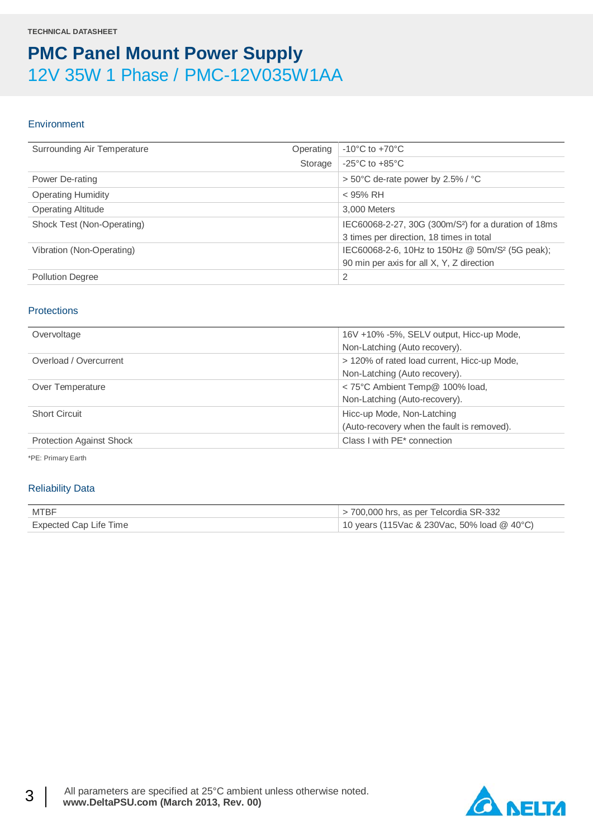### **Environment**

| Surrounding Air Temperature | $-10^{\circ}$ C to $+70^{\circ}$ C<br>Operating                  |
|-----------------------------|------------------------------------------------------------------|
|                             | $-25^{\circ}$ C to $+85^{\circ}$ C<br>Storage                    |
| Power De-rating             | > 50°C de-rate power by 2.5% / °C                                |
| <b>Operating Humidity</b>   | $<$ 95% RH                                                       |
| <b>Operating Altitude</b>   | 3,000 Meters                                                     |
| Shock Test (Non-Operating)  | IEC60068-2-27, 30G (300m/S <sup>2</sup> ) for a duration of 18ms |
|                             | 3 times per direction, 18 times in total                         |
| Vibration (Non-Operating)   | IEC60068-2-6, 10Hz to 150Hz @ 50m/S <sup>2</sup> (5G peak);      |
|                             | 90 min per axis for all X, Y, Z direction                        |
| <b>Pollution Degree</b>     | 2                                                                |

### **Protections**

| Overvoltage                     | 16V +10% -5%, SELV output, Hicc-up Mode,<br>Non-Latching (Auto recovery). |
|---------------------------------|---------------------------------------------------------------------------|
|                                 |                                                                           |
| Overload / Overcurrent          | > 120% of rated load current, Hicc-up Mode,                               |
|                                 | Non-Latching (Auto recovery).                                             |
| Over Temperature                | < 75°C Ambient Temp@ 100% load,                                           |
|                                 | Non-Latching (Auto-recovery).                                             |
| <b>Short Circuit</b>            | Hicc-up Mode, Non-Latching                                                |
|                                 | (Auto-recovery when the fault is removed).                                |
| <b>Protection Against Shock</b> | Class I with PE <sup>*</sup> connection                                   |

\*PE: Primary Earth

## Reliability Data

| MTBF                   | $>$ 700,000 hrs, as per Telcordia SR-332    |
|------------------------|---------------------------------------------|
| Expected Cap Life Time | 10 years (115Vac & 230Vac, 50% load @ 40°C) |

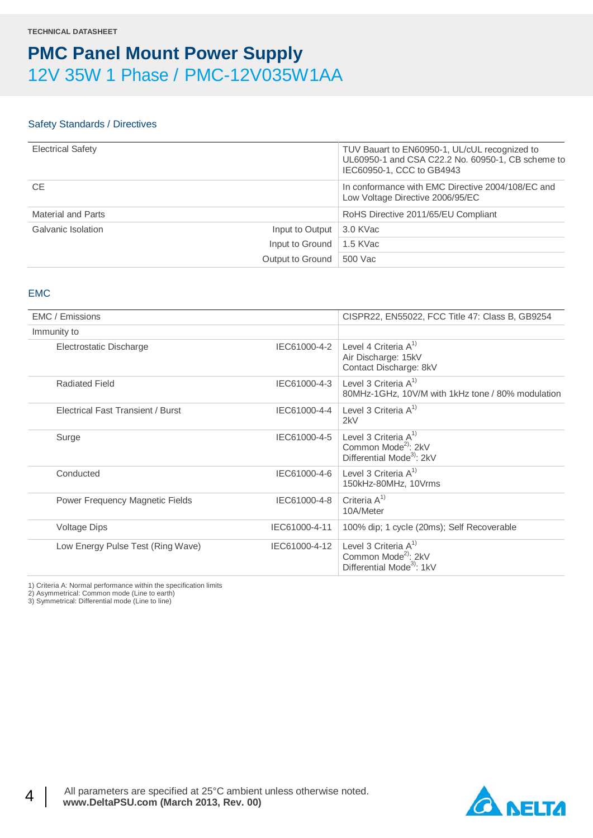## Safety Standards / Directives

| <b>Electrical Safety</b> |                            | TUV Bauart to EN60950-1, UL/cUL recognized to<br>UL60950-1 and CSA C22.2 No. 60950-1, CB scheme to<br>IEC60950-1, CCC to GB4943 |
|--------------------------|----------------------------|---------------------------------------------------------------------------------------------------------------------------------|
| <b>CE</b>                |                            | In conformance with EMC Directive 2004/108/EC and<br>Low Voltage Directive 2006/95/EC                                           |
| Material and Parts       |                            | RoHS Directive 2011/65/EU Compliant                                                                                             |
| Galvanic Isolation       | Input to Output 3.0 KVac   |                                                                                                                                 |
|                          | Input to Ground   1.5 KVac |                                                                                                                                 |
|                          | Output to Ground           | 500 Vac                                                                                                                         |

### EMC

| EMC / Emissions                   |               | CISPR22, EN55022, FCC Title 47: Class B, GB9254                                                     |
|-----------------------------------|---------------|-----------------------------------------------------------------------------------------------------|
| Immunity to                       |               |                                                                                                     |
| Electrostatic Discharge           | IEC61000-4-2  | Level 4 Criteria $A^{1}$<br>Air Discharge: 15kV<br>Contact Discharge: 8kV                           |
| <b>Radiated Field</b>             | IEC61000-4-3  | Level 3 Criteria $A^{(1)}$<br>80MHz-1GHz, 10V/M with 1kHz tone / 80% modulation                     |
| Electrical Fast Transient / Burst | IEC61000-4-4  | Level 3 Criteria $A^{1}$<br>2kV                                                                     |
| Surge                             | IEC61000-4-5  | Level 3 Criteria $A^{1}$<br>Common Mode <sup>2)</sup> : 2kV<br>Differential Mode <sup>3</sup> : 2kV |
| Conducted                         | IEC61000-4-6  | Level 3 Criteria $A^{1}$<br>150kHz-80MHz, 10Vrms                                                    |
| Power Frequency Magnetic Fields   | IEC61000-4-8  | Criteria $A^{1}$<br>10A/Meter                                                                       |
| <b>Voltage Dips</b>               | IEC61000-4-11 | 100% dip; 1 cycle (20ms); Self Recoverable                                                          |
| Low Energy Pulse Test (Ring Wave) | IEC61000-4-12 | Level 3 Criteria $A^{1}$<br>Common Mode <sup>2)</sup> : 2kV<br>Differential Mode <sup>3</sup> : 1kV |

1) Criteria A: Normal performance within the specification limits

2) Asymmetrical: Common mode (Line to earth) 3) Symmetrical: Differential mode (Line to line)

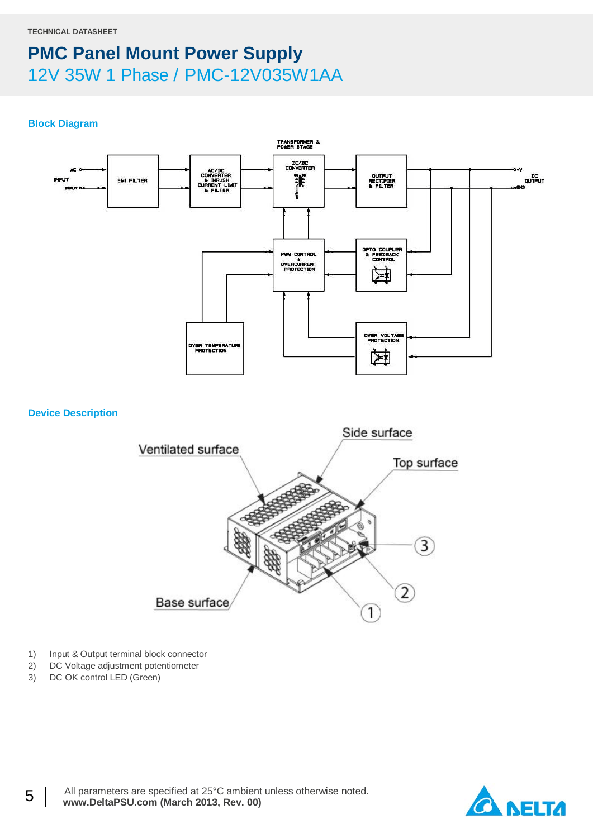# **Block Diagram**



# **Device Description**



- 1) Input & Output terminal block connector
- 2) DC Voltage adjustment potentiometer
- 3) DC OK control LED (Green)

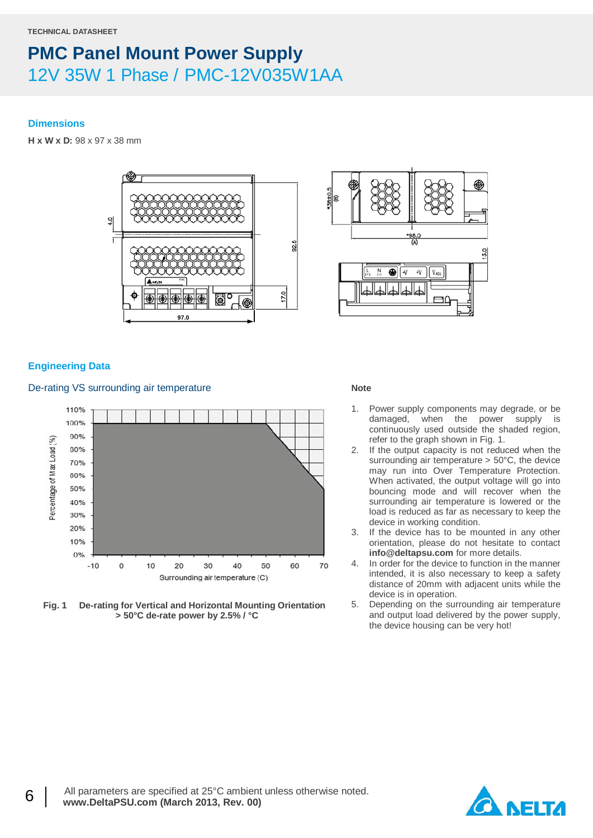## **Dimensions**

**H x W x D:** 98 x 97 x 38 mm





# **Engineering Data**

### De-rating VS surrounding air temperature **Note**



**Fig. 1 De-rating for Vertical and Horizontal Mounting Orientation > 50°C de-rate power by 2.5% / °C**

- 1. Power supply components may degrade, or be damaged, when the power supply continuously used outside the shaded region, refer to the graph shown in Fig. 1.
- 2. If the output capacity is not reduced when the surrounding air temperature > 50°C, the device may run into Over Temperature Protection. When activated, the output voltage will go into bouncing mode and will recover when the surrounding air temperature is lowered or the load is reduced as far as necessary to keep the device in working condition.
- 3. If the device has to be mounted in any other orientation, please do not hesitate to contact **info@deltapsu.com** for more details.
- 4. In order for the device to function in the manner intended, it is also necessary to keep a safety distance of 20mm with adjacent units while the device is in operation.
- 5. Depending on the surrounding air temperature and output load delivered by the power supply, the device housing can be very hot!

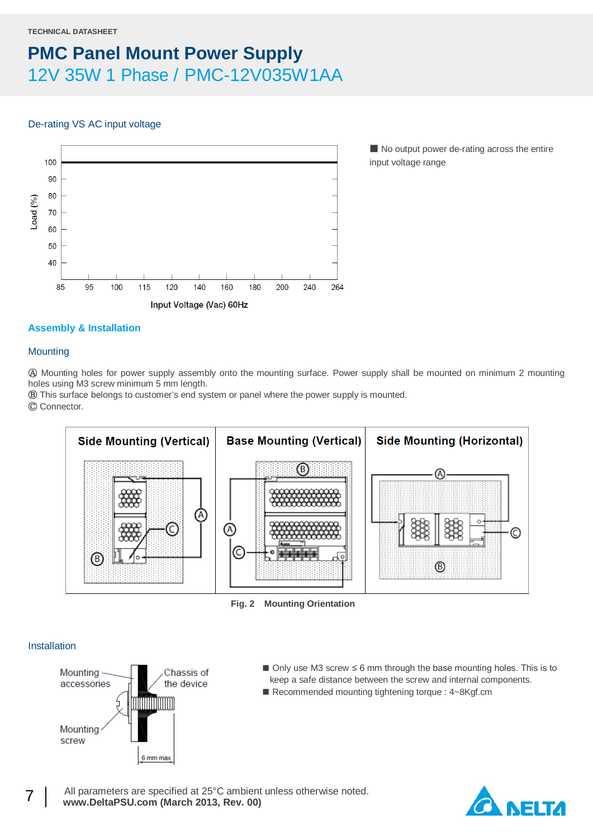# De-rating VS AC input voltage



■ No output power de-rating across the entire input voltage range

# **Assembly & Installation**

## **Mounting**

Ⓐ Mounting holes for power supply assembly onto the mounting surface. Power supply shall be mounted on minimum 2 mounting holes using M3 screw minimum 5 mm length.

Ⓑ This surface belongs to customer's end system or panel where the power supply is mounted.

Ⓒ Connector.



**Fig. 2 Mounting Orientation**

### Installation



- Only use M3 screw ≤ 6 mm through the base mounting holes. This is to keep a safe distance between the screw and internal components.
- Recommended mounting tightening torque : 4~8Kgf.cm

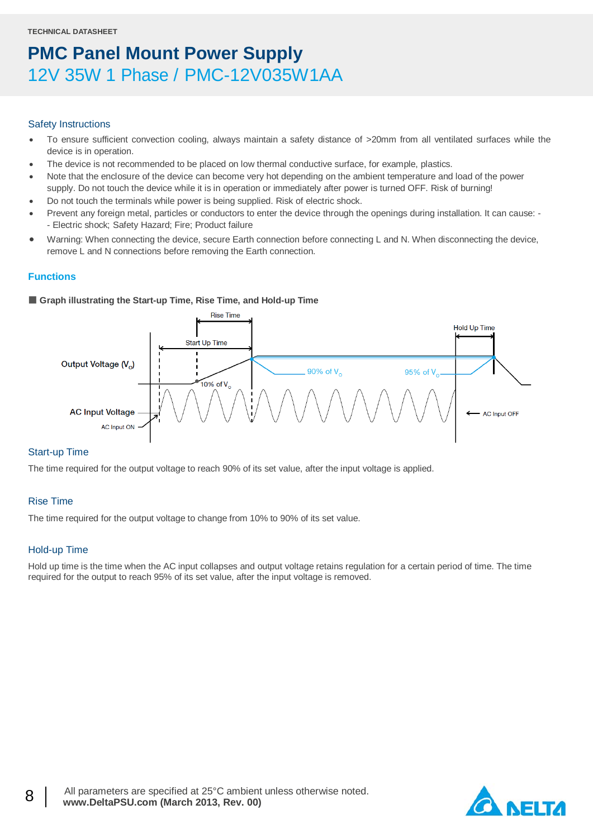### Safety Instructions

- To ensure sufficient convection cooling, always maintain a safety distance of >20mm from all ventilated surfaces while the device is in operation.
- The device is not recommended to be placed on low thermal conductive surface, for example, plastics.
- Note that the enclosure of the device can become very hot depending on the ambient temperature and load of the power supply. Do not touch the device while it is in operation or immediately after power is turned OFF. Risk of burning!
- Do not touch the terminals while power is being supplied. Risk of electric shock.
- Prevent any foreign metal, particles or conductors to enter the device through the openings during installation. It can cause: - Electric shock; Safety Hazard; Fire; Product failure
- Warning: When connecting the device, secure Earth connection before connecting L and N. When disconnecting the device, remove L and N connections before removing the Earth connection.

## **Functions**

### ■ Graph illustrating the Start-up Time, Rise Time, and Hold-up Time



## Start-up Time

The time required for the output voltage to reach 90% of its set value, after the input voltage is applied.

## Rise Time

The time required for the output voltage to change from 10% to 90% of its set value.

## Hold-up Time

Hold up time is the time when the AC input collapses and output voltage retains regulation for a certain period of time. The time required for the output to reach 95% of its set value, after the input voltage is removed.



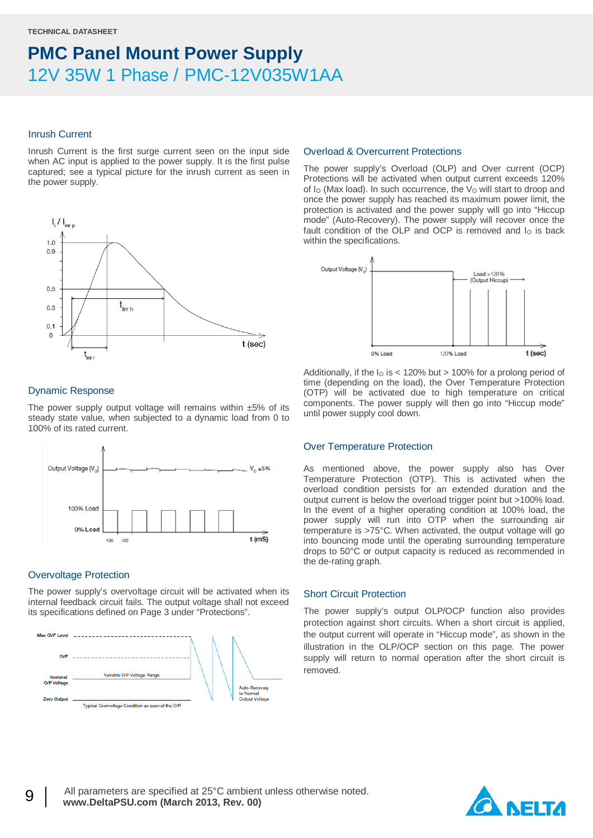### Inrush Current

Inrush Current is the first surge current seen on the input side when AC input is applied to the power supply. It is the first pulse captured; see a typical picture for the inrush current as seen in the power supply.



### Overload & Overcurrent Protections

The power supply's Overload (OLP) and Over current (OCP) Protections will be activated when output current exceeds 120% of  $I<sub>O</sub>$  (Max load). In such occurrence, the  $V<sub>O</sub>$  will start to droop and once the power supply has reached its maximum power limit, the protection is activated and the power supply will go into "Hiccup mode" (Auto-Recovery). The power supply will recover once the fault condition of the OLP and OCP is removed and  $I<sub>O</sub>$  is back within the specifications.



Dynamic Response

The power supply output voltage will remains within  $±5\%$  of its steady state value, when subjected to a dynamic load from 0 to 100% of its rated current.



# Overvoltage Protection

The power supply's overvoltage circuit will be activated when its internal feedback circuit fails. The output voltage shall not exceed its specifications defined on Page 3 under "Protections".



Additionally, if the  $I<sub>0</sub>$  is < 120% but > 100% for a prolong period of time (depending on the load), the Over Temperature Protection (OTP) will be activated due to high temperature on critical components. The power supply will then go into "Hiccup mode" until power supply cool down.

## Over Temperature Protection

As mentioned above, the power supply also has Over Temperature Protection (OTP). This is activated when the overload condition persists for an extended duration and the output current is below the overload trigger point but >100% load. In the event of a higher operating condition at 100% load, the power supply will run into OTP when the surrounding air temperature is >75°C. When activated, the output voltage will go into bouncing mode until the operating surrounding temperature drops to 50°C or output capacity is reduced as recommended in the de-rating graph.

### Short Circuit Protection

The power supply's output OLP/OCP function also provides protection against short circuits. When a short circuit is applied, the output current will operate in "Hiccup mode", as shown in the illustration in the OLP/OCP section on this page. The power supply will return to normal operation after the short circuit is removed.

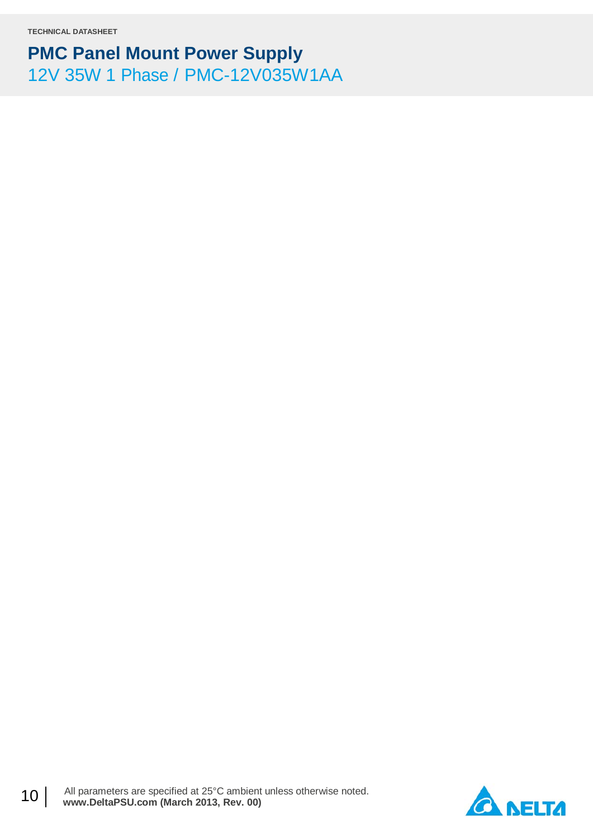**TECHNICAL DATASHEET**

**PMC Panel Mount Power Supply** 12V 35W 1 Phase / PMC-12V035W1AA